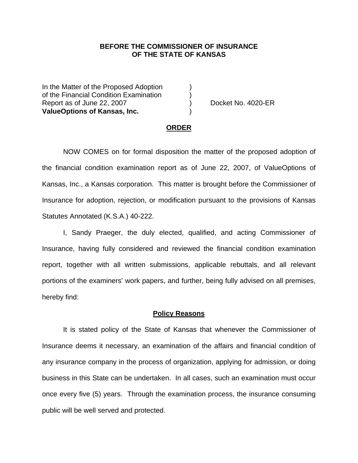### **BEFORE THE COMMISSIONER OF INSURANCE OF THE STATE OF KANSAS**

In the Matter of the Proposed Adoption of the Financial Condition Examination ) Report as of June 22, 2007 (and the set of the Docket No. 4020-ER **ValueOptions of Kansas, Inc.** )

#### **ORDER**

 NOW COMES on for formal disposition the matter of the proposed adoption of the financial condition examination report as of June 22, 2007, of ValueOptions of Kansas, Inc., a Kansas corporation. This matter is brought before the Commissioner of Insurance for adoption, rejection, or modification pursuant to the provisions of Kansas Statutes Annotated (K.S.A.) 40-222.

 I, Sandy Praeger, the duly elected, qualified, and acting Commissioner of Insurance, having fully considered and reviewed the financial condition examination report, together with all written submissions, applicable rebuttals, and all relevant portions of the examiners' work papers, and further, being fully advised on all premises, hereby find:

#### **Policy Reasons**

 It is stated policy of the State of Kansas that whenever the Commissioner of Insurance deems it necessary, an examination of the affairs and financial condition of any insurance company in the process of organization, applying for admission, or doing business in this State can be undertaken. In all cases, such an examination must occur once every five (5) years. Through the examination process, the insurance consuming public will be well served and protected.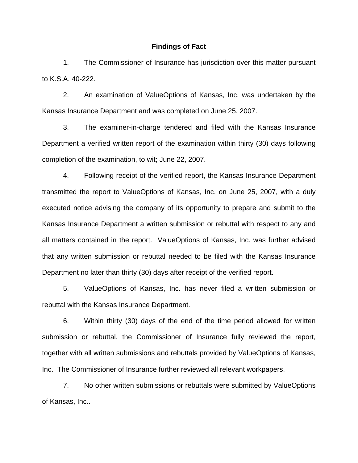#### **Findings of Fact**

 1. The Commissioner of Insurance has jurisdiction over this matter pursuant to K.S.A. 40-222.

 2. An examination of ValueOptions of Kansas, Inc. was undertaken by the Kansas Insurance Department and was completed on June 25, 2007.

 3. The examiner-in-charge tendered and filed with the Kansas Insurance Department a verified written report of the examination within thirty (30) days following completion of the examination, to wit; June 22, 2007.

 4. Following receipt of the verified report, the Kansas Insurance Department transmitted the report to ValueOptions of Kansas, Inc. on June 25, 2007, with a duly executed notice advising the company of its opportunity to prepare and submit to the Kansas Insurance Department a written submission or rebuttal with respect to any and all matters contained in the report. ValueOptions of Kansas, Inc. was further advised that any written submission or rebuttal needed to be filed with the Kansas Insurance Department no later than thirty (30) days after receipt of the verified report.

 5. ValueOptions of Kansas, Inc. has never filed a written submission or rebuttal with the Kansas Insurance Department.

 6. Within thirty (30) days of the end of the time period allowed for written submission or rebuttal, the Commissioner of Insurance fully reviewed the report, together with all written submissions and rebuttals provided by ValueOptions of Kansas, Inc. The Commissioner of Insurance further reviewed all relevant workpapers.

 7. No other written submissions or rebuttals were submitted by ValueOptions of Kansas, Inc..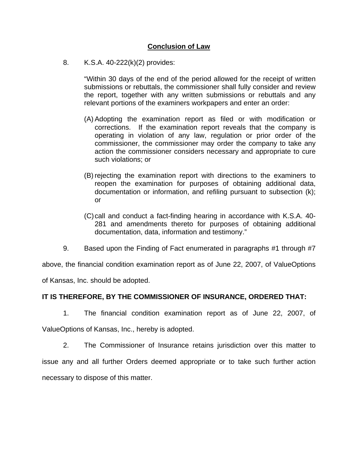# **Conclusion of Law**

8. K.S.A. 40-222(k)(2) provides:

"Within 30 days of the end of the period allowed for the receipt of written submissions or rebuttals, the commissioner shall fully consider and review the report, together with any written submissions or rebuttals and any relevant portions of the examiners workpapers and enter an order:

- (A) Adopting the examination report as filed or with modification or corrections. If the examination report reveals that the company is operating in violation of any law, regulation or prior order of the commissioner, the commissioner may order the company to take any action the commissioner considers necessary and appropriate to cure such violations; or
- (B) rejecting the examination report with directions to the examiners to reopen the examination for purposes of obtaining additional data, documentation or information, and refiling pursuant to subsection (k); or
- (C) call and conduct a fact-finding hearing in accordance with K.S.A. 40- 281 and amendments thereto for purposes of obtaining additional documentation, data, information and testimony."
- 9. Based upon the Finding of Fact enumerated in paragraphs #1 through #7

above, the financial condition examination report as of June 22, 2007, of ValueOptions

of Kansas, Inc. should be adopted.

## **IT IS THEREFORE, BY THE COMMISSIONER OF INSURANCE, ORDERED THAT:**

 1. The financial condition examination report as of June 22, 2007, of ValueOptions of Kansas, Inc., hereby is adopted.

 2. The Commissioner of Insurance retains jurisdiction over this matter to issue any and all further Orders deemed appropriate or to take such further action necessary to dispose of this matter.